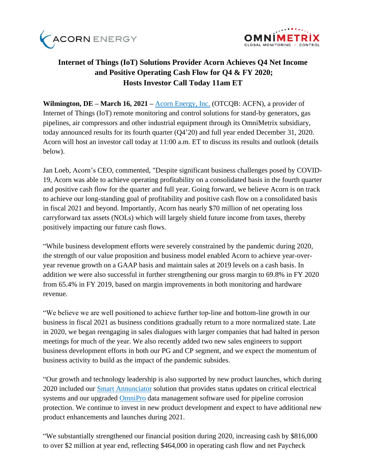



# **Internet of Things (IoT) Solutions Provider Acorn Achieves Q4 Net Income and Positive Operating Cash Flow for Q4 & FY 2020; Hosts Investor Call Today 11am ET**

**Wilmington, DE – March 16, 2021 –** [Acorn Energy, Inc.](http://acornenergy.com/) (OTCQB: ACFN), a provider of Internet of Things (IoT) remote monitoring and control solutions for stand-by generators, gas pipelines, air compressors and other industrial equipment through its OmniMetrix subsidiary, today announced results for its fourth quarter (Q4'20) and full year ended December 31, 2020. Acorn will host an investor call today at 11:00 a.m. ET to discuss its results and outlook (details below).

Jan Loeb, Acorn's CEO, commented, "Despite significant business challenges posed by COVID-19, Acorn was able to achieve operating profitability on a consolidated basis in the fourth quarter and positive cash flow for the quarter and full year. Going forward, we believe Acorn is on track to achieve our long-standing goal of profitability and positive cash flow on a consolidated basis in fiscal 2021 and beyond. Importantly, Acorn has nearly \$70 million of net operating loss carryforward tax assets (NOLs) which will largely shield future income from taxes, thereby positively impacting our future cash flows.

"While business development efforts were severely constrained by the pandemic during 2020, the strength of our value proposition and business model enabled Acorn to achieve year-overyear revenue growth on a GAAP basis and maintain sales at 2019 levels on a cash basis. In addition we were also successful in further strengthening our gross margin to 69.8% in FY 2020 from 65.4% in FY 2019, based on margin improvements in both monitoring and hardware revenue.

"We believe we are well positioned to achieve further top-line and bottom-line growth in our business in fiscal 2021 as business conditions gradually return to a more normalized state. Late in 2020, we began reengaging in sales dialogues with larger companies that had halted in person meetings for much of the year. We also recently added two new sales engineers to support business development efforts in both our PG and CP segment, and we expect the momentum of business activity to build as the impact of the pandemic subsides.

"Our growth and technology leadership is also supported by new product launches, which during 2020 included our [Smart Annunciator](https://www.omnimetrix.net/wp-content/uploads/2020/03/Smart-Annunciator-Spec-Sheet-2020-Final2.pdf) solution that provides status updates on critical electrical systems and our upgraded [OmniPro](https://www.omnimetrix.net/omnipro/?hsCtaTracking=24d3dceb-86e2-44a6-b988-20f4345ab8e4%7C89fc84f4-a5fd-4ac5-8d1c-5744be3001be) data management software used for pipeline corrosion protection. We continue to invest in new product development and expect to have additional new product enhancements and launches during 2021.

"We substantially strengthened our financial position during 2020, increasing cash by \$816,000 to over \$2 million at year end, reflecting \$464,000 in operating cash flow and net Paycheck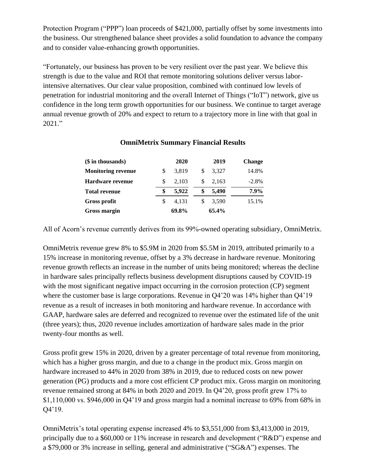Protection Program ("PPP") loan proceeds of \$421,000, partially offset by some investments into the business. Our strengthened balance sheet provides a solid foundation to advance the company and to consider value-enhancing growth opportunities.

"Fortunately, our business has proven to be very resilient over the past year. We believe this strength is due to the value and ROI that remote monitoring solutions deliver versus laborintensive alternatives. Our clear value proposition, combined with continued low levels of penetration for industrial monitoring and the overall Internet of Things ("IoT") network, give us confidence in the long term growth opportunities for our business. We continue to target average annual revenue growth of 20% and expect to return to a trajectory more in line with that goal in 2021."

| $($$ in thousands)        |    | 2020  |    | 2019  | <b>Change</b> |
|---------------------------|----|-------|----|-------|---------------|
| <b>Monitoring revenue</b> | \$ | 3,819 | S  | 3,327 | 14.8%         |
| <b>Hardware revenue</b>   |    | 2,103 | S  | 2,163 | $-2.8\%$      |
| <b>Total revenue</b>      | \$ | 5,922 | \$ | 5,490 | 7.9%          |
| Gross profit              | S  | 4.131 | S  | 3,590 | 15.1%         |
| <b>Gross margin</b>       |    | 69.8% |    | 65.4% |               |

# **OmniMetrix Summary Financial Results**

All of Acorn's revenue currently derives from its 99%-owned operating subsidiary, OmniMetrix.

OmniMetrix revenue grew 8% to \$5.9M in 2020 from \$5.5M in 2019, attributed primarily to a 15% increase in monitoring revenue, offset by a 3% decrease in hardware revenue. Monitoring revenue growth reflects an increase in the number of units being monitored; whereas the decline in hardware sales principally reflects business development disruptions caused by COVID-19 with the most significant negative impact occurring in the corrosion protection (CP) segment where the customer base is large corporations. Revenue in Q4'20 was 14% higher than Q4'19 revenue as a result of increases in both monitoring and hardware revenue. In accordance with GAAP, hardware sales are deferred and recognized to revenue over the estimated life of the unit (three years); thus, 2020 revenue includes amortization of hardware sales made in the prior twenty-four months as well.

Gross profit grew 15% in 2020, driven by a greater percentage of total revenue from monitoring, which has a higher gross margin, and due to a change in the product mix. Gross margin on hardware increased to 44% in 2020 from 38% in 2019, due to reduced costs on new power generation (PG) products and a more cost efficient CP product mix. Gross margin on monitoring revenue remained strong at 84% in both 2020 and 2019. In Q4'20, gross profit grew 17% to \$1,110,000 vs. \$946,000 in Q4'19 and gross margin had a nominal increase to 69% from 68% in Q4'19.

OmniMetrix's total operating expense increased 4% to \$3,551,000 from \$3,413,000 in 2019, principally due to a \$60,000 or 11% increase in research and development ("R&D") expense and a \$79,000 or 3% increase in selling, general and administrative ("SG&A") expenses. The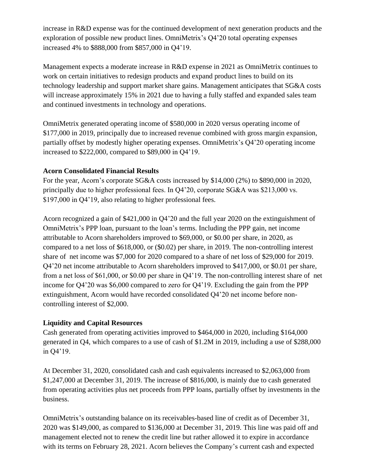increase in R&D expense was for the continued development of next generation products and the exploration of possible new product lines. OmniMetrix's Q4'20 total operating expenses increased 4% to \$888,000 from \$857,000 in Q4'19.

Management expects a moderate increase in R&D expense in 2021 as OmniMetrix continues to work on certain initiatives to redesign products and expand product lines to build on its technology leadership and support market share gains. Management anticipates that SG&A costs will increase approximately 15% in 2021 due to having a fully staffed and expanded sales team and continued investments in technology and operations.

OmniMetrix generated operating income of \$580,000 in 2020 versus operating income of \$177,000 in 2019, principally due to increased revenue combined with gross margin expansion, partially offset by modestly higher operating expenses. OmniMetrix's Q4'20 operating income increased to \$222,000, compared to \$89,000 in Q4'19.

# **Acorn Consolidated Financial Results**

For the year, Acorn's corporate SG&A costs increased by \$14,000 (2%) to \$890,000 in 2020, principally due to higher professional fees. In Q4'20, corporate SG&A was \$213,000 vs. \$197,000 in Q4'19, also relating to higher professional fees.

Acorn recognized a gain of \$421,000 in Q4'20 and the full year 2020 on the extinguishment of OmniMetrix's PPP loan, pursuant to the loan's terms. Including the PPP gain, net income attributable to Acorn shareholders improved to \$69,000, or \$0.00 per share, in 2020, as compared to a net loss of \$618,000, or (\$0.02) per share, in 2019. The non-controlling interest share of net income was \$7,000 for 2020 compared to a share of net loss of \$29,000 for 2019. Q4'20 net income attributable to Acorn shareholders improved to \$417,000, or \$0.01 per share, from a net loss of \$61,000, or \$0.00 per share in Q4'19. The non-controlling interest share of net income for Q4'20 was \$6,000 compared to zero for Q4'19. Excluding the gain from the PPP extinguishment, Acorn would have recorded consolidated Q4'20 net income before noncontrolling interest of \$2,000.

# **Liquidity and Capital Resources**

Cash generated from operating activities improved to \$464,000 in 2020, including \$164,000 generated in Q4, which compares to a use of cash of \$1.2M in 2019, including a use of \$288,000 in Q4'19.

At December 31, 2020, consolidated cash and cash equivalents increased to \$2,063,000 from \$1,247,000 at December 31, 2019. The increase of \$816,000, is mainly due to cash generated from operating activities plus net proceeds from PPP loans, partially offset by investments in the business.

OmniMetrix's outstanding balance on its receivables-based line of credit as of December 31, 2020 was \$149,000, as compared to \$136,000 at December 31, 2019. This line was paid off and management elected not to renew the credit line but rather allowed it to expire in accordance with its terms on February 28, 2021. Acorn believes the Company's current cash and expected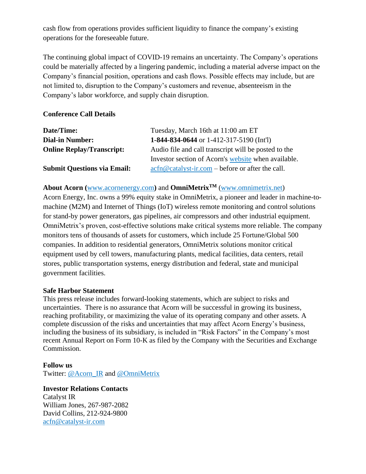cash flow from operations provides sufficient liquidity to finance the company's existing operations for the foreseeable future.

The continuing global impact of COVID-19 remains an uncertainty. The Company's operations could be materially affected by a lingering pandemic, including a material adverse impact on the Company's financial position, operations and cash flows. Possible effects may include, but are not limited to, disruption to the Company's customers and revenue, absenteeism in the Company's labor workforce, and supply chain disruption.

## **Conference Call Details**

| Date/Time:                         | Tuesday, March 16th at 11:00 am ET                                                                                            |
|------------------------------------|-------------------------------------------------------------------------------------------------------------------------------|
| <b>Dial-in Number:</b>             | 1-844-834-0644 or 1-412-317-5190 (Int'l)                                                                                      |
| <b>Online Replay/Transcript:</b>   | Audio file and call transcript will be posted to the                                                                          |
|                                    | Investor section of Acorn's website when available.                                                                           |
| <b>Submit Questions via Email:</b> | $\operatorname{acfn}\nolimits @ \operatorname{catalyst-ir}.\nolimits com - \operatorname{before}\nolimits$ or after the call. |

### **About Acorn (**[www.acornenergy.com](http://www.acornenergy.com/)**)** and **OmniMetrixTM** [\(www.omnimetrix.net\)](http://www.omnimetrix.net/)

Acorn Energy, Inc. owns a 99% equity stake in OmniMetrix, a pioneer and leader in machine-tomachine (M2M) and Internet of Things (IoT) wireless remote monitoring and control solutions for stand-by power generators, gas pipelines, air compressors and other industrial equipment. OmniMetrix's proven, cost-effective solutions make critical systems more reliable. The company monitors tens of thousands of assets for customers, which include 25 Fortune/Global 500 companies. In addition to residential generators, OmniMetrix solutions monitor critical equipment used by cell towers, manufacturing plants, medical facilities, data centers, retail stores, public transportation systems, energy distribution and federal, state and municipal government facilities.

#### **Safe Harbor Statement**

This press release includes forward-looking statements, which are subject to risks and uncertainties. There is no assurance that Acorn will be successful in growing its business, reaching profitability, or maximizing the value of its operating company and other assets. A complete discussion of the risks and uncertainties that may affect Acorn Energy's business, including the business of its subsidiary, is included in "Risk Factors" in the Company's most recent Annual Report on Form 10-K as filed by the Company with the Securities and Exchange Commission.

#### **Follow us**

Twitter: [@Acorn\\_IR](https://twitter.com/ACORN_IR) and [@OmniMetrix](https://twitter.com/OmniMetrix)

**Investor Relations Contacts** Catalyst IR William Jones, 267-987-2082 David Collins, 212-924-9800 [acfn@catalyst-ir.com](mailto:acfn@catalyst-ir.com)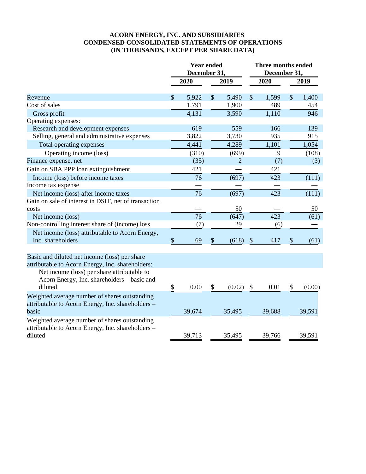### **ACORN ENERGY, INC. AND SUBSIDIARIES CONDENSED CONSOLIDATED STATEMENTS OF OPERATIONS (IN THOUSANDS, EXCEPT PER SHARE DATA)**

|                                                                                                               | <b>Year ended</b><br>December 31. |        | <b>Three months ended</b><br>December 31, |        |                           |        |               |        |
|---------------------------------------------------------------------------------------------------------------|-----------------------------------|--------|-------------------------------------------|--------|---------------------------|--------|---------------|--------|
|                                                                                                               |                                   | 2020   |                                           | 2019   |                           | 2020   |               | 2019   |
| Revenue                                                                                                       | $\mathcal{S}$                     | 5,922  | $\mathcal{S}$                             | 5,490  | $\mathcal{S}$             | 1,599  | $\mathcal{S}$ | 1,400  |
| Cost of sales                                                                                                 |                                   | 1,791  |                                           | 1,900  |                           | 489    |               | 454    |
| Gross profit                                                                                                  |                                   | 4,131  |                                           | 3,590  |                           | 1,110  |               | 946    |
| Operating expenses:                                                                                           |                                   |        |                                           |        |                           |        |               |        |
| Research and development expenses                                                                             |                                   | 619    |                                           | 559    |                           | 166    |               | 139    |
| Selling, general and administrative expenses                                                                  |                                   | 3,822  |                                           | 3,730  |                           | 935    |               | 915    |
| Total operating expenses                                                                                      |                                   | 4,441  |                                           | 4,289  |                           | 1,101  |               | 1,054  |
| Operating income (loss)                                                                                       |                                   | (310)  |                                           | (699)  |                           | 9      |               | (108)  |
| Finance expense, net                                                                                          |                                   | (35)   |                                           | 2      |                           | (7)    |               | (3)    |
| Gain on SBA PPP loan extinguishment                                                                           |                                   | 421    |                                           |        |                           | 421    |               |        |
| Income (loss) before income taxes                                                                             |                                   | 76     |                                           | (697)  |                           | 423    |               | (111)  |
| Income tax expense                                                                                            |                                   |        |                                           |        |                           |        |               |        |
| Net income (loss) after income taxes                                                                          |                                   | 76     |                                           | (697)  |                           | 423    |               | (111)  |
| Gain on sale of interest in DSIT, net of transaction                                                          |                                   |        |                                           |        |                           |        |               |        |
| costs                                                                                                         |                                   |        |                                           | 50     |                           |        |               | 50     |
| Net income (loss)                                                                                             |                                   | 76     |                                           | (647)  |                           | 423    |               | (61)   |
| Non-controlling interest share of (income) loss                                                               |                                   | (7)    |                                           | 29     |                           | (6)    |               |        |
| Net income (loss) attributable to Acorn Energy,                                                               |                                   |        |                                           |        |                           |        |               |        |
| Inc. shareholders                                                                                             | $\$\,$                            | 69     | \$                                        | (618)  | $\boldsymbol{\mathsf{S}}$ | 417    | \$            | (61)   |
|                                                                                                               |                                   |        |                                           |        |                           |        |               |        |
| Basic and diluted net income (loss) per share<br>attributable to Acorn Energy, Inc. shareholders:             |                                   |        |                                           |        |                           |        |               |        |
| Net income (loss) per share attributable to<br>Acorn Energy, Inc. shareholders - basic and<br>diluted         | \$                                | 0.00   | \$                                        | (0.02) | \$                        | 0.01   | \$            | (0.00) |
| Weighted average number of shares outstanding<br>attributable to Acorn Energy, Inc. shareholders -<br>basic   |                                   | 39,674 |                                           | 35,495 |                           | 39,688 |               | 39,591 |
| Weighted average number of shares outstanding<br>attributable to Acorn Energy, Inc. shareholders -<br>diluted |                                   | 39,713 |                                           | 35,495 |                           | 39,766 |               | 39,591 |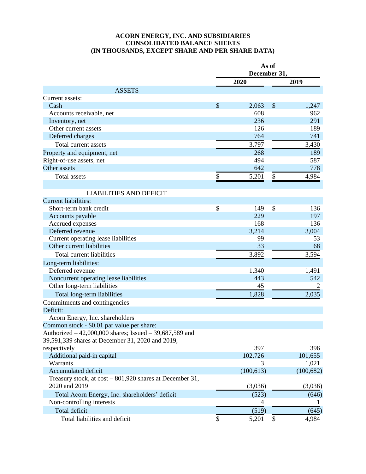#### **ACORN ENERGY, INC. AND SUBSIDIARIES CONSOLIDATED BALANCE SHEETS (IN THOUSANDS, EXCEPT SHARE AND PER SHARE DATA)**

|                                                            | As of<br>December 31, |            |               |            |  |
|------------------------------------------------------------|-----------------------|------------|---------------|------------|--|
|                                                            |                       | 2020       | 2019          |            |  |
| <b>ASSETS</b>                                              |                       |            |               |            |  |
| Current assets:                                            |                       |            |               |            |  |
| Cash                                                       | \$                    | 2,063      | \$            | 1,247      |  |
| Accounts receivable, net                                   |                       | 608        |               | 962        |  |
| Inventory, net                                             |                       | 236        |               | 291        |  |
| Other current assets                                       |                       | 126        |               | 189        |  |
| Deferred charges                                           |                       | 764        |               | 741        |  |
| Total current assets                                       |                       | 3,797      |               | 3,430      |  |
| Property and equipment, net                                |                       | 268        |               | 189        |  |
| Right-of-use assets, net                                   |                       | 494        |               | 587        |  |
| Other assets                                               |                       | 642        |               | 778        |  |
| <b>Total assets</b>                                        | \$                    | 5,201      | \$            | 4,984      |  |
|                                                            |                       |            |               |            |  |
| <b>LIABILITIES AND DEFICIT</b>                             |                       |            |               |            |  |
| <b>Current liabilities:</b>                                |                       |            |               |            |  |
| Short-term bank credit                                     | \$                    | 149        | $\mathcal{S}$ | 136        |  |
| Accounts payable                                           |                       | 229        |               | 197        |  |
| Accrued expenses                                           |                       | 168        |               | 136        |  |
| Deferred revenue                                           |                       | 3,214      |               | 3,004      |  |
| Current operating lease liabilities                        |                       | 99         |               | 53         |  |
| Other current liabilities                                  |                       | 33         |               | 68         |  |
| Total current liabilities                                  |                       | 3,892      |               | 3,594      |  |
| Long-term liabilities:                                     |                       |            |               |            |  |
| Deferred revenue                                           |                       | 1,340      |               | 1,491      |  |
| Noncurrent operating lease liabilities                     |                       | 443        |               | 542        |  |
| Other long-term liabilities                                |                       | 45         |               | 2          |  |
| Total long-term liabilities                                |                       | 1,828      |               | 2,035      |  |
| Commitments and contingencies                              |                       |            |               |            |  |
| Deficit:                                                   |                       |            |               |            |  |
| Acorn Energy, Inc. shareholders                            |                       |            |               |            |  |
| Common stock - \$0.01 par value per share:                 |                       |            |               |            |  |
| Authorized $-42,000,000$ shares; Issued $-39,687,589$ and  |                       |            |               |            |  |
| 39,591,339 shares at December 31, 2020 and 2019,           |                       |            |               |            |  |
| respectively                                               |                       | 397        |               | 396        |  |
| Additional paid-in capital                                 |                       | 102,726    |               | 101,655    |  |
| Warrants                                                   |                       | 3          |               | 1,021      |  |
| Accumulated deficit                                        |                       | (100, 613) |               | (100, 682) |  |
| Treasury stock, at $cost - 801,920$ shares at December 31, |                       |            |               |            |  |
| 2020 and 2019                                              |                       | (3,036)    |               | (3,036)    |  |
| Total Acorn Energy, Inc. shareholders' deficit             |                       | (523)      |               | (646)      |  |
| Non-controlling interests                                  |                       | 4          |               |            |  |
| Total deficit                                              |                       | (519)      |               | (645)      |  |
| Total liabilities and deficit                              | \$                    | 5,201      | \$            | 4,984      |  |